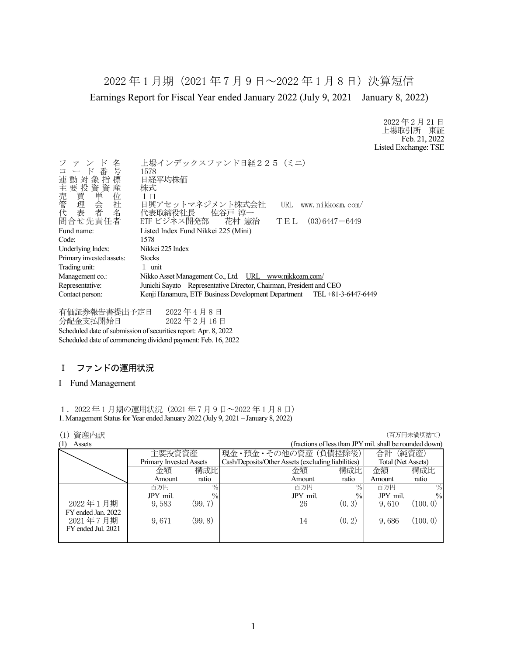2022 年 1 月期(2021 年 7 月 9 日~2022 年 1 月 8 日)決算短信 Earnings Report for Fiscal Year ended January 2022 (July 9, 2021 – January 8, 2022)

> 2022 年 2 月 21 日 上場取引所 東証 Feb. 21, 2022 Listed Exchange: TSE

| 名<br>コード番号<br>連動対象指標<br>)主売管代<br>「我」、「我」、「我」<br>「我」、「我」<br>「我」<br>「我」<br>「我」<br>「我」 | 上場インデックスファンド日経225 (ミニ)<br>1578<br>日経平均株価<br>株式<br>1 □                   |  |  |  |
|-------------------------------------------------------------------------------------|-------------------------------------------------------------------------|--|--|--|
|                                                                                     | 日興アセットマネジメント株式会社<br>URL<br>www.nikkoam.com/                             |  |  |  |
| 問合せ先責任者                                                                             | 代表取締役社長 佐谷戸 淳一<br>ETF ビジネス開発部 花村 憲治<br>$(03)$ 6447 - 6449<br>TEL        |  |  |  |
|                                                                                     |                                                                         |  |  |  |
| Fund name:                                                                          | Listed Index Fund Nikkei 225 (Mini)                                     |  |  |  |
| Code:                                                                               | 1578                                                                    |  |  |  |
| Underlying Index:                                                                   | Nikkei 225 Index                                                        |  |  |  |
| Primary invested assets:                                                            | <b>Stocks</b>                                                           |  |  |  |
| Trading unit:                                                                       | 1 unit                                                                  |  |  |  |
| Management co.:                                                                     | Nikko Asset Management Co., Ltd. URL www.nikkoam.com/                   |  |  |  |
| Representative:                                                                     | Junichi Sayato Representative Director, Chairman, President and CEO     |  |  |  |
| Contact person:                                                                     | Kenji Hanamura, ETF Business Development Department TEL +81-3-6447-6449 |  |  |  |
|                                                                                     |                                                                         |  |  |  |

有価証券報告書提出予定日 2022 年 4 月 8 日 分配金支払開始日 2022 年 2 月 16 日 Scheduled date of submission of securities report: Apr. 8, 2022 Scheduled date of commencing dividend payment: Feb. 16, 2022

# Ⅰ ファンドの運用状況

### I Fund Management

1.2022 年 1 月期の運用状況(2021 年 7 月 9 日~2022 年 1 月 8 日) 1. Management Status for Year ended January 2022 (July 9, 2021 – January 8, 2022)

# (1) 資産内訳 (百万円未満切捨て)

| (1)<br>Assets      |                         |               |                                                    |        | (fractions of less than JPY mil. shall be rounded down) |               |
|--------------------|-------------------------|---------------|----------------------------------------------------|--------|---------------------------------------------------------|---------------|
|                    | 主要投資資産                  |               | 現金・預金・その他の資産 (負債控除後)                               |        | 合計                                                      | (純資産)         |
|                    | Primary Invested Assets |               | Cash/Deposits/Other Assets (excluding liabilities) |        | Total (Net Assets)                                      |               |
|                    | 金額                      | 構成比           | 金額                                                 | 構成比    | 金額                                                      | 構成比           |
|                    | Amount                  | ratio         | Amount                                             | ratio  | Amount                                                  | ratio         |
|                    | 百万円                     | $\frac{0}{0}$ | 百万円                                                | $\%$   | 百万円                                                     | $\%$          |
|                    | JPY mil.                | $\%$          | JPY mil.                                           | $\%$   | JPY mil.                                                | $\frac{0}{0}$ |
| 2022年1月期           | 9,583                   | (99.7)        | 26                                                 | (0, 3) | 9,610                                                   | (100, 0)      |
| FY ended Jan. 2022 |                         |               |                                                    |        |                                                         |               |
| 2021年7月期           | 9,671                   | (99.8)        | 14                                                 | (0, 2) | 9,686                                                   | (100.0)       |
| FY ended Jul. 2021 |                         |               |                                                    |        |                                                         |               |
|                    |                         |               |                                                    |        |                                                         |               |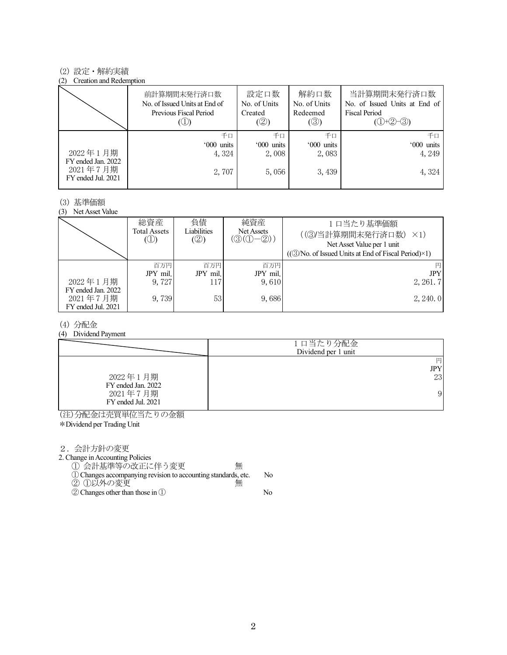### (2) 設定・解約実績

#### (2) Creation and Redemption

|                                                      | 前計算期間末発行済口数<br>No. of Issued Units at End of<br>Previous Fiscal Period | 設定口数<br>No. of Units<br>Created<br>(②) | 解約口数<br>No. of Units<br>Redeemed<br>$(\circledS)$ | 当計算期間末発行済口数<br>No. of Issued Units at End of<br>Fiscal Period<br>$(①+②-③)$ |
|------------------------------------------------------|------------------------------------------------------------------------|----------------------------------------|---------------------------------------------------|----------------------------------------------------------------------------|
|                                                      | 千口                                                                     | 千口                                     | 千口                                                | 千日                                                                         |
|                                                      | '000 units                                                             | '000 units                             | '000 units                                        | '000 units                                                                 |
| 2022年1月期                                             | 4, 324                                                                 | 2,008                                  | 2,083                                             | 4, 249                                                                     |
| FY ended Jan. 2022<br>2021年7月期<br>FY ended Jul. 2021 | 2,707                                                                  | 5,056                                  | 3, 439                                            | 4,324                                                                      |

### (3) 基準価額

(3) Net Asset Value

|                                                      | 総資産<br>Total Assets<br>$\circledcirc$ | 負債<br>Liabilities<br>(②) | 純資産<br>Net Assets<br>$(\textcircled{3}(\textcircled{1}-\textcircled{2}))$ | 1口当たり基準価額<br>((3)当計算期間末発行済口数) ×1)<br>Net Asset Value per 1 unit<br>$((\textcircled{3}/No. of Issued Units at End of Fiscal Period)\times 1)$ |
|------------------------------------------------------|---------------------------------------|--------------------------|---------------------------------------------------------------------------|----------------------------------------------------------------------------------------------------------------------------------------------|
| 2022年1月期                                             | 百万円<br>JPY mil.<br>9.727              | 百万円<br>JPY mil.<br>117   | 百万円<br>JPY mil.<br>9.610                                                  | 円<br><b>JPY</b><br>2, 261.7                                                                                                                  |
| FY ended Jan. 2022<br>2021年7月期<br>FY ended Jul. 2021 | 9,739                                 | 53                       | 9,686                                                                     | 2, 240.0                                                                                                                                     |

### (4) 分配金

### (4) Dividend Payment

|                    | 1口当たり分配金<br>Dividend per 1 unit |
|--------------------|---------------------------------|
|                    | 円                               |
|                    | JPY                             |
| 2022年1月期           | 23                              |
| FY ended Jan. 2022 |                                 |
| 2021年7月期           | 9                               |
| FY ended Jul. 2021 |                                 |

(注)分配金は売買単位当たりの金額

\*Dividend per Trading Unit

2.会計方針の変更

2. Change in Accounting Policies

① 会計基準等の改正に伴う変更 無

- ①Changes accompanying revision to accounting standards, etc. No ② ①以外の変更 無
- ②Changes other than those in ① No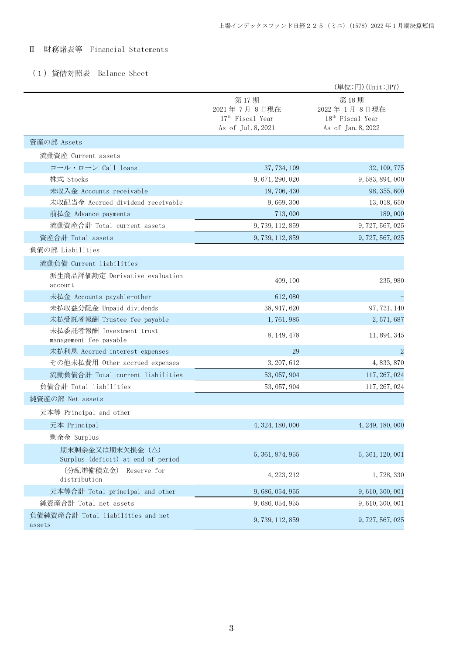# Ⅱ 財務諸表等 Financial Statements

# (1)貸借対照表 Balance Sheet

|                                                       |                                                                           | (単位:円) (Unit:JPY)                                                         |
|-------------------------------------------------------|---------------------------------------------------------------------------|---------------------------------------------------------------------------|
|                                                       | 第17期<br>2021年7月8日現在<br>17 <sup>th</sup> Fiscal Year<br>As of Jul. 8, 2021 | 第18期<br>2022年1月8日現在<br>18 <sup>th</sup> Fiscal Year<br>As of Jan. 8, 2022 |
| 資産の部 Assets                                           |                                                                           |                                                                           |
| 流動資産 Current assets                                   |                                                                           |                                                                           |
| コール・ローン Call loans                                    | 37, 734, 109                                                              | 32, 109, 775                                                              |
| 株式 Stocks                                             | 9, 671, 290, 020                                                          | 9, 583, 894, 000                                                          |
| 未収入金 Accounts receivable                              | 19,706,430                                                                | 98, 355, 600                                                              |
| 未収配当金 Accrued dividend receivable                     | 9,669,300                                                                 | 13, 018, 650                                                              |
| 前払金 Advance payments                                  | 713,000                                                                   | 189,000                                                                   |
| 流動資産合計 Total current assets                           | 9, 739, 112, 859                                                          | 9, 727, 567, 025                                                          |
| 資産合計 Total assets                                     | 9, 739, 112, 859                                                          | 9, 727, 567, 025                                                          |
| 負債の部 Liabilities                                      |                                                                           |                                                                           |
| 流動負債 Current liabilities                              |                                                                           |                                                                           |
| 派生商品評価勘定 Derivative evaluation<br>account             | 409, 100                                                                  | 235, 980                                                                  |
| 未払金 Accounts payable-other                            | 612,080                                                                   |                                                                           |
| 未払収益分配金 Unpaid dividends                              | 38, 917, 620                                                              | 97, 731, 140                                                              |
| 未払受託者報酬 Trustee fee payable                           | 1,761,985                                                                 | 2, 571, 687                                                               |
| 未払委託者報酬 Investment trust<br>management fee payable    | 8, 149, 478                                                               | 11, 894, 345                                                              |
| 未払利息 Accrued interest expenses                        | 29                                                                        | $\overline{2}$                                                            |
| その他未払費用 Other accrued expenses                        | 3, 207, 612                                                               | 4, 833, 870                                                               |
| 流動負債合計 Total current liabilities                      | 53, 057, 904                                                              | 117, 267, 024                                                             |
| 負債合計 Total liabilities                                | 53, 057, 904                                                              | 117, 267, 024                                                             |
| 純資産の部 Net assets                                      |                                                                           |                                                                           |
| 元本等 Principal and other                               |                                                                           |                                                                           |
| 元本 Principal                                          | 4, 324, 180, 000                                                          | 4, 249, 180, 000                                                          |
| 剰余金 Surplus                                           |                                                                           |                                                                           |
| 期末剰余金又は期末欠損金(△)<br>Surplus (deficit) at end of period | 5, 361, 874, 955                                                          | 5, 361, 120, 001                                                          |
| (分配準備積立金)<br>Reserve for<br>distribution              | 4, 223, 212                                                               | 1,728,330                                                                 |
| 元本等合計 Total principal and other                       | 9, 686, 054, 955                                                          | 9, 610, 300, 001                                                          |
| 純資産合計 Total net assets                                | 9, 686, 054, 955                                                          | 9, 610, 300, 001                                                          |
| 負債純資産合計 Total liabilities and net<br>assets           | 9, 739, 112, 859                                                          | 9, 727, 567, 025                                                          |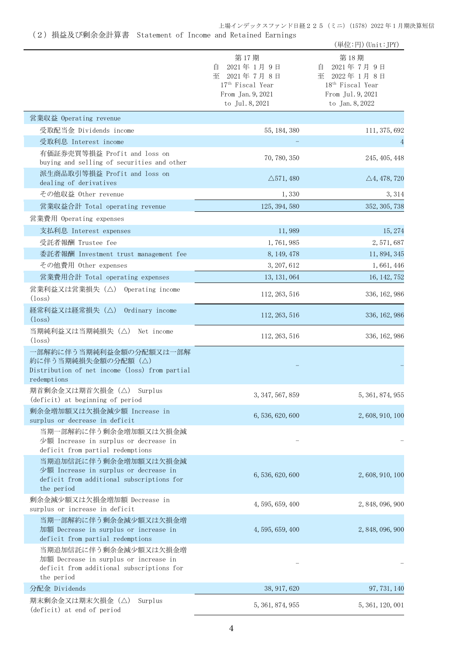### 上場インデックスファンド日経225(ミニ)(1578)2022 年 1 月期決算短信

(2)損益及び剰余金計算書 Statement of Income and Retained Earnings

|                                                                                                                           |                                                                                                                  | (単位:円) (Unit:JPY)                                                                                             |
|---------------------------------------------------------------------------------------------------------------------------|------------------------------------------------------------------------------------------------------------------|---------------------------------------------------------------------------------------------------------------|
|                                                                                                                           | 第17期<br>2021年1月9日<br>自<br>2021年7月8日<br>至<br>17 <sup>th</sup> Fiscal Year<br>From Jan. 9, 2021<br>to Jul. 8, 2021 | 第18期<br>2021年7月9日<br>目<br>至 2022年1月8日<br>18 <sup>th</sup> Fiscal Year<br>From Jul. 9, 2021<br>to Jan. 8, 2022 |
| 営業収益 Operating revenue                                                                                                    |                                                                                                                  |                                                                                                               |
| 受取配当金 Dividends income                                                                                                    | 55, 184, 380                                                                                                     | 111, 375, 692                                                                                                 |
| 受取利息 Interest income                                                                                                      |                                                                                                                  | 4                                                                                                             |
| 有価証券売買等損益 Profit and loss on<br>buying and selling of securities and other                                                | 70, 780, 350                                                                                                     | 245, 405, 448                                                                                                 |
| 派生商品取引等損益 Profit and loss on                                                                                              | $\triangle$ 571, 480                                                                                             | $\triangle$ 4, 478, 720                                                                                       |
| dealing of derivatives<br>その他収益 Other revenue                                                                             | 1,330                                                                                                            | 3, 314                                                                                                        |
| 営業収益合計 Total operating revenue                                                                                            | 125, 394, 580                                                                                                    | 352, 305, 738                                                                                                 |
| 営業費用 Operating expenses                                                                                                   |                                                                                                                  |                                                                                                               |
| 支払利息 Interest expenses                                                                                                    | 11,989                                                                                                           | 15, 274                                                                                                       |
| 受託者報酬 Trustee fee                                                                                                         | 1,761,985                                                                                                        | 2, 571, 687                                                                                                   |
| 委託者報酬 Investment trust management fee                                                                                     | 8, 149, 478                                                                                                      | 11, 894, 345                                                                                                  |
| その他費用 Other expenses                                                                                                      | 3, 207, 612                                                                                                      | 1,661,446                                                                                                     |
| 営業費用合計 Total operating expenses                                                                                           | 13, 131, 064                                                                                                     | 16, 142, 752                                                                                                  |
| 営業利益又は営業損失(△) Operating income<br>$(\text{loss})$                                                                         | 112, 263, 516                                                                                                    | 336, 162, 986                                                                                                 |
| 経常利益又は経常損失(△)<br>Ordinary income<br>$(\text{loss})$                                                                       | 112, 263, 516                                                                                                    | 336, 162, 986                                                                                                 |
| 当期純利益又は当期純損失(△)<br>Net income<br>$(\text{loss})$                                                                          | 112, 263, 516                                                                                                    | 336, 162, 986                                                                                                 |
| 一部解約に伴う当期純利益金額の分配額又は一部解<br>約に伴う当期純損失金額の分配額(△)<br>Distribution of net income (loss) from partial<br>redemptions            |                                                                                                                  |                                                                                                               |
| 期首剰余金又は期首欠損金 (△) Surplus<br>(deficit) at beginning of period                                                              | 3, 347, 567, 859                                                                                                 | 5, 361, 874, 955                                                                                              |
| 剰余金増加額又は欠損金減少額 Increase in<br>surplus or decrease in deficit                                                              | 6, 536, 620, 600                                                                                                 | 2, 608, 910, 100                                                                                              |
| 当期一部解約に伴う剰余金増加額又は欠損金減<br>少額 Increase in surplus or decrease in<br>deficit from partial redemptions                        |                                                                                                                  |                                                                                                               |
| 当期追加信託に伴う剰余金増加額又は欠損金減<br>少額 Increase in surplus or decrease in<br>deficit from additional subscriptions for<br>the period | 6, 536, 620, 600                                                                                                 | 2, 608, 910, 100                                                                                              |
| 剰余金減少額又は欠損金増加額 Decrease in<br>surplus or increase in deficit                                                              | 4, 595, 659, 400                                                                                                 | 2, 848, 096, 900                                                                                              |
| 当期一部解約に伴う剰余金減少額又は欠損金増<br>加額 Decrease in surplus or increase in<br>deficit from partial redemptions                        | 4, 595, 659, 400                                                                                                 | 2, 848, 096, 900                                                                                              |
| 当期追加信託に伴う剰余金減少額又は欠損金増<br>加額 Decrease in surplus or increase in<br>deficit from additional subscriptions for<br>the period |                                                                                                                  |                                                                                                               |
| 分配金 Dividends                                                                                                             | 38, 917, 620                                                                                                     | 97, 731, 140                                                                                                  |
| 期末剰余金又は期末欠損金(△)<br>Surplus<br>(deficit) at end of period                                                                  | 5, 361, 874, 955                                                                                                 | 5, 361, 120, 001                                                                                              |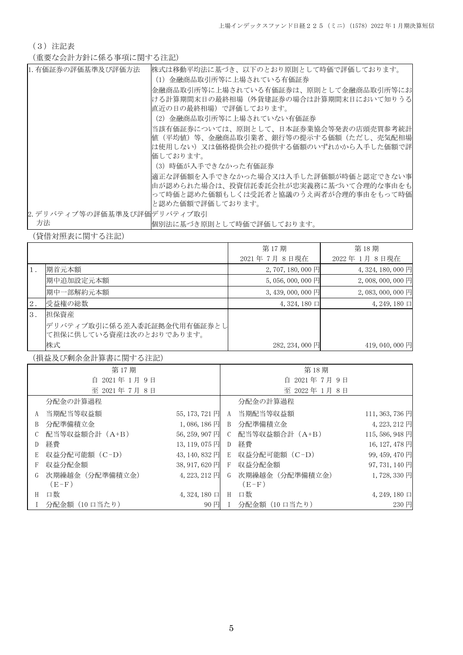(3)注記表

(重要な会計方針に係る事項に関する注記)

| 1. 有価証券の評価基準及び評価方法          | 株式は移動平均法に基づき、以下のとおり原則として時価で評価しております。  |
|-----------------------------|---------------------------------------|
|                             | (1)金融商品取引所等に上場されている有価証券               |
|                             | 金融商品取引所等に上場されている有価証券は、原則として金融商品取引所等にお |
|                             | ける計算期間末日の最終相場(外貨建証券の場合は計算期間末日において知りうる |
|                             | 直近の日の最終相場)で評価しております。                  |
|                             | (2)金融商品取引所等に上場されていない有価証券              |
|                             | 当該有価証券については、原則として、日本証券業協会等発表の店頭売買参考統計 |
|                             | 値(平均値)等、金融商品取引業者、銀行等の提示する価額(ただし、売気配相場 |
|                             | は使用しない)又は価格提供会社の提供する価額のいずれかから入手した価額で評 |
|                             | 価しております。                              |
|                             | (3) 時価が入手できなかった有価証券                   |
|                             | 適正な評価額を入手できなかった場合又は入手した評価額が時価と認定できない事 |
|                             | 由が認められた場合は、投資信託委託会社が忠実義務に基づいて合理的な事由をも |
|                             | って時価と認めた価額もしくは受託者と協議のうえ両者が合理的事由をもって時価 |
|                             | と認めた価額で評価しております。                      |
| 2. デリバティブ等の評価基準及び評価デリバティブ取引 |                                       |
| 方法                          | 悃別法に基づき原則として時価で評価しております。              |

(貸借対照表に関する注記)

|       |                            | 第17期                | 第18期               |
|-------|----------------------------|---------------------|--------------------|
|       |                            | 2021年7月8日現在         | 2022年1月8日現在        |
|       | 期首元本額                      | 2,707,180,000円      | 4, 324, 180, 000 円 |
|       | 期中追加設定元本額                  | $5,056,000,000$ 円   | 2,008,000,000円     |
|       | 期中一部解約元本額                  | $3,439,000,000$ 円   | 2,083,000,000円     |
| $2$ . | 受益権の総数                     | $4,324,180 \square$ | $4, 249, 180 \Box$ |
| 3.    | 担保資産                       |                     |                    |
|       | デリバティブ取引に係る差入委託証拠金代用有価証券とし |                     |                    |
|       | て担保に供している資産は次のとおりであります。    |                     |                    |
|       | 株式                         | 282, 234, 000 円     | 419,040,000円       |

(損益及び剰余金計算書に関する注記)

|   | 第17期            |                       |              | 第18期                        |                 |
|---|-----------------|-----------------------|--------------|-----------------------------|-----------------|
|   | 自 2021年1月9日     |                       |              | 自 2021年7月9日                 |                 |
|   | 至 2021年7月8日     |                       |              | 至 2022年1月8日                 |                 |
|   | 分配金の計算過程        |                       |              | 分配金の計算過程                    |                 |
|   | A 当期配当等収益額      | 55, 173, 721 円        | A            | 当期配当等収益額                    | 111, 363, 736 円 |
| B | 分配準備積立金         | $1,086,186$ 円         | $\mathbf{B}$ | 分配準備積立金                     | 4, 223, 212 円   |
|   | 配当等収益額合計 (A+B)  | 56, 259, 907 円        | C            | 配当等収益額合計 (A+B)              | 115,586,948円    |
| D | 経費              | 13, 119, 075 円        | D            | 経費                          | 16, 127, 478 円  |
| E | 収益分配可能額(C-D)    |                       |              | 43,140,832円 E 収益分配可能額 (C−D) | 99, 459, 470 円  |
|   | 収益分配金額          | 38, 917, 620 $\Box$ F |              | 収益分配金額                      | 97, 731, 140 円  |
|   | 次期繰越金 (分配準備積立金) | $4,223,212$ 円         | G            | 次期繰越金 (分配準備積立金)             | 1,728,330円      |
|   | $(E-F)$         |                       |              | $(E-F)$                     |                 |
| H | 口数              | $4,324,180$ 口         | H            | 口数                          | 4, 249, 180 口   |
|   | 分配金額(10 口当たり)   | 90円                   |              | 分配金額(10 口当たり)               | 230 円           |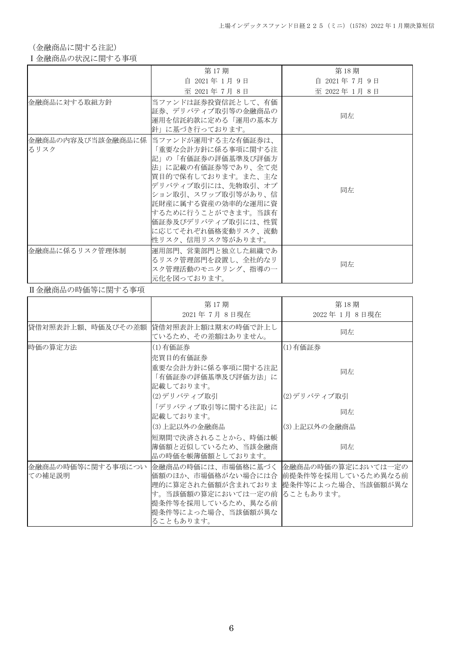(金融商品に関する注記)

## Ⅰ金融商品の状況に関する事項

|                | 第17期                                                                                                                                                                                                                                                                                     | 第18期        |
|----------------|------------------------------------------------------------------------------------------------------------------------------------------------------------------------------------------------------------------------------------------------------------------------------------------|-------------|
|                | 自 2021年 1月 9日                                                                                                                                                                                                                                                                            | 自 2021年7月9日 |
|                | 至 2021年7月8日                                                                                                                                                                                                                                                                              | 至 2022年1月8日 |
| 金融商品に対する取組方針   | 当ファンドは証券投資信託として、有価<br>証券、デリバティブ取引等の金融商品の<br>運用を信託約款に定める「運用の基本方<br>針」に基づき行っております。                                                                                                                                                                                                         | 同左          |
| るリスク           | 金融商品の内容及び当該金融商品に係  当ファンドが運用する主な有価証券は、<br>「重要な会計方針に係る事項に関する注<br>記」の「有価証券の評価基準及び評価方<br>法」に記載の有価証券等であり、全て売<br> 買目的で保有しております。また、主な<br>デリバティブ取引には、先物取引、オプ<br>ション取引、スワップ取引等があり、信<br>託財産に属する資産の効率的な運用に資<br> するために行うことができます。当該有<br>価証券及びデリバティブ取引には、性質<br>に応じてそれぞれ価格変動リスク、流動<br>性リスク、信用リスク等があります。 | 同左          |
| 金融商品に係るリスク管理体制 | 運用部門、営業部門と独立した組織であ<br>るリスク管理部門を設置し、全社的なリ<br>スク管理活動のモニタリング、指導の一<br>元化を図っております。                                                                                                                                                                                                            | 同左          |

## Ⅱ金融商品の時価等に関する事項

|                             | 第17期<br>2021年7月8日現在                                                                                                                                                                              | 第18期<br>2022年 1月 8日現在 |
|-----------------------------|--------------------------------------------------------------------------------------------------------------------------------------------------------------------------------------------------|-----------------------|
| 貸借対照表計上額、時価及びその差額           | 貸借対照表計上額は期末の時価で計上し<br>ているため、その差額はありません。                                                                                                                                                          | 同左                    |
| 時価の算定方法                     | (1)有価証券<br>売買目的有価証券                                                                                                                                                                              | (1)有価証券               |
|                             | 重要な会計方針に係る事項に関する注記<br>「有価証券の評価基準及び評価方法」に<br>記載しております。                                                                                                                                            | 同左                    |
|                             | (2)デリバティブ取引                                                                                                                                                                                      | (2)デリバティブ取引           |
|                             | 「デリバティブ取引等に関する注記」に<br>記載しております。                                                                                                                                                                  | 同左                    |
|                             | (3)上記以外の金融商品                                                                                                                                                                                     | (3)上記以外の金融商品          |
|                             | 短期間で決済されることから、時価は帳<br> 簿価額と近似しているため、当該金融商<br>品の時価を帳簿価額としております。                                                                                                                                   | 同左                    |
| 金融商品の時価等に関する事項につい<br>ての補足説明 | 金融商品の時価には、市場価格に基づく 金融商品の時価の算定においては一定の<br>価額のほか、市場価格がない場合には合  前提条件等を採用しているため異なる前<br>理的に算定された価額が含まれておりま<br>す。当該価額の算定においては一定の前  ることもあります。<br>提条件等を採用しているため、異なる前<br> 提条件等によった場合、当該価額が異な<br>ることもあります。 | 提条件等によった場合、当該価額が異な    |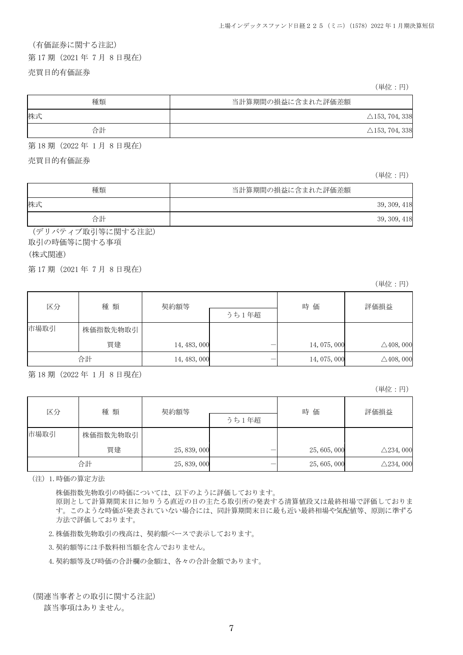# (有価証券に関する注記)

第 17 期(2021 年 7 月 8 日現在)

### 売買目的有価証券

(単位:円)

| 種類 | 当計算期間の損益に含まれた評価差額         |
|----|---------------------------|
| 株式 | $\triangle$ 153, 704, 338 |
| 合計 | $\triangle$ 153, 704, 338 |

第 18 期(2022 年 1 月 8 日現在)

売買目的有価証券

(単位:円)

| 種類 | 当計算期間の損益に含まれた評価差額 |
|----|-------------------|
| 株式 | 39, 309, 418      |
| 合計 | 39, 309, 418      |

(デリバティブ取引等に関する注記) 取引の時価等に関する事項

### (株式関連)

第 17 期(2021 年 7 月 8 日現在)

(単位:円)

| 種 類<br>区分 | 契約額等     |              | 時価 | 評価損益         |                      |
|-----------|----------|--------------|----|--------------|----------------------|
|           |          | うち1年超        |    |              |                      |
| 市場取引      | 株価指数先物取引 |              |    |              |                      |
|           | 買建       | 14, 483, 000 |    | 14, 075, 000 | $\triangle$ 408, 000 |
|           | 合計       | 14, 483, 000 |    | 14, 075, 000 | $\triangle$ 408, 000 |

第 18 期(2022 年 1 月 8 日現在)

(単位:円)

| 区分   | 種類       | 契約額等         |       | 時価           | 評価損益                |
|------|----------|--------------|-------|--------------|---------------------|
|      |          |              | うち1年超 |              |                     |
| 市場取引 | 株価指数先物取引 |              |       |              |                     |
|      | 買建       | 25, 839, 000 |       | 25, 605, 000 | $\triangle$ 234,000 |
|      | 合計       | 25, 839, 000 |       | 25, 605, 000 | $\triangle$ 234,000 |

(注)1.時価の算定方法

株価指数先物取引の時価については、以下のように評価しております。

原則として計算期間末日に知りうる直近の日の主たる取引所の発表する清算値段又は最終相場で評価しておりま す。このような時価が発表されていない場合には、同計算期間末日に最も近い最終相場や気配値等、原則に準ずる 方法で評価しております。

2.株価指数先物取引の残高は、契約額ベースで表示しております。

3.契約額等には手数料相当額を含んでおりません。

4.契約額等及び時価の合計欄の金額は、各々の合計金額であります。

(関連当事者との取引に関する注記)

該当事項はありません。